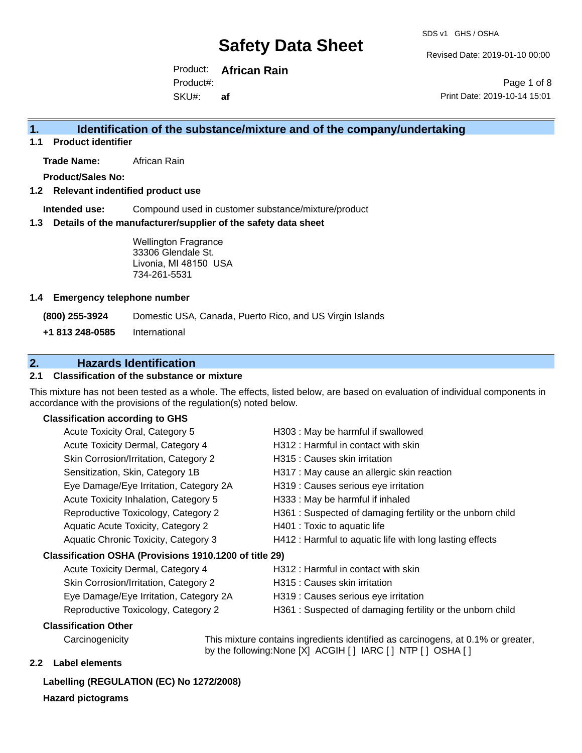Revised Date: 2019-01-10 00:00

Product: **African Rain** SKU#: Product#: **af**

Page 1 of 8 Print Date: 2019-10-14 15:01

### **1. Identification of the substance/mixture and of the company/undertaking**

**1.1 Product identifier**

**Trade Name:** African Rain

**Product/Sales No:**

#### **1.2 Relevant indentified product use**

**Intended use:** Compound used in customer substance/mixture/product

#### **1.3 Details of the manufacturer/supplier of the safety data sheet**

Wellington Fragrance 33306 Glendale St. Livonia, MI 48150 USA 734-261-5531

#### **1.4 Emergency telephone number**

**(800) 255-3924** Domestic USA, Canada, Puerto Rico, and US Virgin Islands

**+1 813 248-0585** International

### **2. Hazards Identification**

#### **2.1 Classification of the substance or mixture**

This mixture has not been tested as a whole. The effects, listed below, are based on evaluation of individual components in accordance with the provisions of the regulation(s) noted below.

#### **Classification according to GHS**

| Acute Toxicity Oral, Category 5                        | H303 : May be harmful if swallowed                        |
|--------------------------------------------------------|-----------------------------------------------------------|
| Acute Toxicity Dermal, Category 4                      | H312 : Harmful in contact with skin                       |
| Skin Corrosion/Irritation, Category 2                  | H315 : Causes skin irritation                             |
| Sensitization, Skin, Category 1B                       | H317 : May cause an allergic skin reaction                |
| Eye Damage/Eye Irritation, Category 2A                 | H319 : Causes serious eye irritation                      |
| Acute Toxicity Inhalation, Category 5                  | H333: May be harmful if inhaled                           |
| Reproductive Toxicology, Category 2                    | H361: Suspected of damaging fertility or the unborn child |
| Aquatic Acute Toxicity, Category 2                     | H401 : Toxic to aquatic life                              |
| Aquatic Chronic Toxicity, Category 3                   | H412 : Harmful to aquatic life with long lasting effects  |
| Classification OSHA (Provisions 1910.1200 of title 29) |                                                           |
| Acute Toxicity Dermal, Category 4                      | H312 : Harmful in contact with skin                       |
| Skin Corrosion/Irritation, Category 2                  | H315 : Causes skin irritation                             |
| Eye Damage/Eye Irritation, Category 2A                 | H319 : Causes serious eye irritation                      |

- 
- Reproductive Toxicology, Category 2 H361 : Suspected of damaging fertility or the unborn child
- 

**Classification Other**

Carcinogenicity This mixture contains ingredients identified as carcinogens, at 0.1% or greater, by the following:None [X] ACGIH [ ] IARC [ ] NTP [ ] OSHA [ ]

#### **2.2 Label elements**

#### **Labelling (REGULATION (EC) No 1272/2008)**

**Hazard pictograms**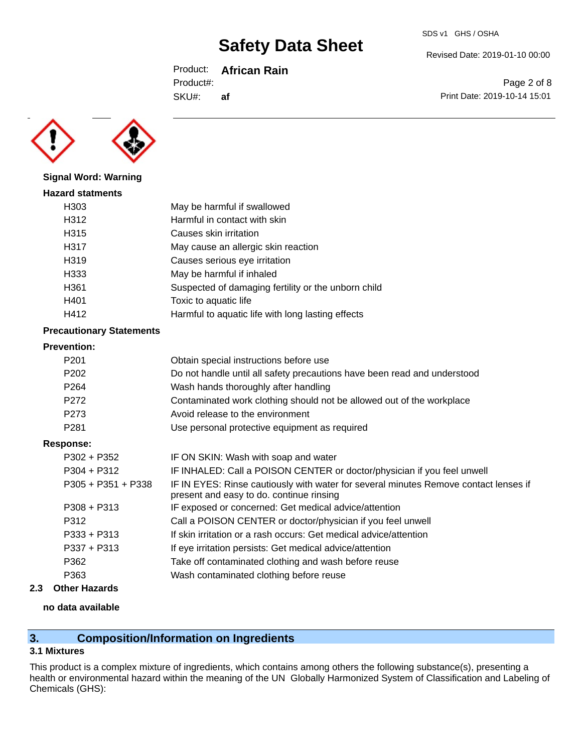Product: **African Rain**

Product#:

SKU#: **af** Revised Date: 2019-01-10 00:00

SDS v1 GHS / OSHA

Page 2 of 8 Print Date: 2019-10-14 15:01



**Signal Word: Warning**

### **Hazard statments** H303 May be harmful if swallowed H312 Harmful in contact with skin H315 Causes skin irritation H317 May cause an allergic skin reaction H319 Causes serious eye irritation H333 May be harmful if inhaled H361 Suspected of damaging fertility or the unborn child H401 Toxic to aquatic life H412 **Harmful to aquatic life with long lasting effects**

#### **Precautionary Statements**

#### **Prevention:**

| .                    |                                                                                                                                  |
|----------------------|----------------------------------------------------------------------------------------------------------------------------------|
| P <sub>201</sub>     | Obtain special instructions before use                                                                                           |
| P <sub>202</sub>     | Do not handle until all safety precautions have been read and understood                                                         |
| P <sub>264</sub>     | Wash hands thoroughly after handling                                                                                             |
| P <sub>272</sub>     | Contaminated work clothing should not be allowed out of the workplace                                                            |
| P <sub>273</sub>     | Avoid release to the environment                                                                                                 |
| P <sub>281</sub>     | Use personal protective equipment as required                                                                                    |
| Response:            |                                                                                                                                  |
| $P302 + P352$        | IF ON SKIN: Wash with soap and water                                                                                             |
| $P304 + P312$        | IF INHALED: Call a POISON CENTER or doctor/physician if you feel unwell                                                          |
| $P305 + P351 + P338$ | IF IN EYES: Rinse cautiously with water for several minutes Remove contact lenses if<br>present and easy to do. continue rinsing |
| $P308 + P313$        | IF exposed or concerned: Get medical advice/attention                                                                            |
| P312                 | Call a POISON CENTER or doctor/physician if you feel unwell                                                                      |
| P333 + P313          | If skin irritation or a rash occurs: Get medical advice/attention                                                                |
| $P337 + P313$        | If eye irritation persists: Get medical advice/attention                                                                         |
| P362                 | Take off contaminated clothing and wash before reuse                                                                             |
| P363                 | Wash contaminated clothing before reuse                                                                                          |
|                      |                                                                                                                                  |

### **2.3 Other Hazards**

#### **no data available**

## **3. Composition/Information on Ingredients**

### **3.1 Mixtures**

This product is a complex mixture of ingredients, which contains among others the following substance(s), presenting a health or environmental hazard within the meaning of the UN Globally Harmonized System of Classification and Labeling of Chemicals (GHS):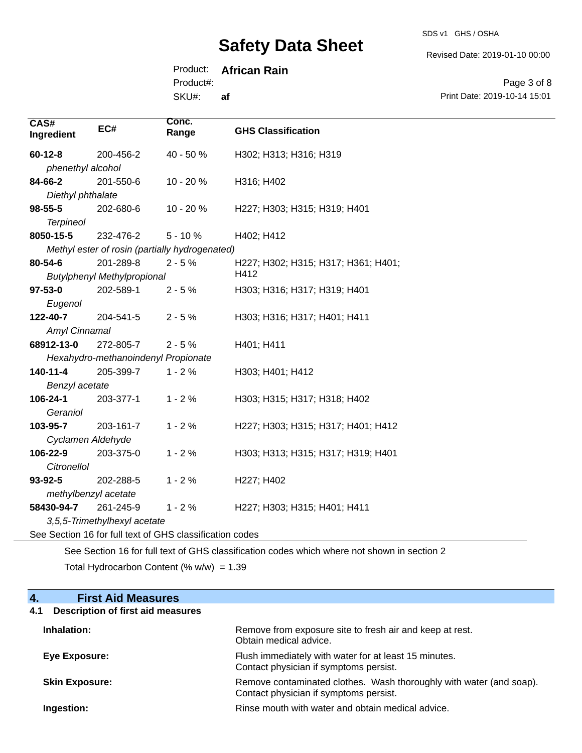SDS v1 GHS / OSHA

Revised Date: 2019-01-10 00:00

Product: **African Rain**

Product#:

SKU#: **af**

Page 3 of 8 Print Date: 2019-10-14 15:01

| CAS#<br>Ingredient   | EC#                                 | Conc.<br>Range                                           | <b>GHS Classification</b>           |
|----------------------|-------------------------------------|----------------------------------------------------------|-------------------------------------|
| $60 - 12 - 8$        | 200-456-2                           | 40 - 50 %                                                | H302; H313; H316; H319              |
| phenethyl alcohol    |                                     |                                                          |                                     |
| 84-66-2              | 201-550-6                           | 10 - 20 %                                                | H316; H402                          |
| Diethyl phthalate    |                                     |                                                          |                                     |
| $98 - 55 - 5$        | 202-680-6                           | 10 - 20 %                                                | H227; H303; H315; H319; H401        |
| <b>Terpineol</b>     |                                     |                                                          |                                     |
| 8050-15-5            | 232-476-2                           | $5 - 10%$                                                | H402; H412                          |
|                      |                                     | Methyl ester of rosin (partially hydrogenated)           |                                     |
| 80-54-6              | 201-289-8                           | $2 - 5%$                                                 | H227; H302; H315; H317; H361; H401; |
|                      | <b>Butylphenyl Methylpropional</b>  |                                                          | H412                                |
| $97 - 53 - 0$        | 202-589-1                           | $2 - 5%$                                                 | H303; H316; H317; H319; H401        |
| Eugenol              |                                     |                                                          |                                     |
| 122-40-7             | 204-541-5                           | $2 - 5%$                                                 | H303; H316; H317; H401; H411        |
| Amyl Cinnamal        |                                     |                                                          |                                     |
| 68912-13-0           | 272-805-7                           | $2 - 5%$                                                 | H401; H411                          |
|                      | Hexahydro-methanoindenyl Propionate |                                                          |                                     |
| 140-11-4             | 205-399-7                           | $1 - 2%$                                                 | H303; H401; H412                    |
| Benzyl acetate       |                                     |                                                          |                                     |
| 106-24-1             | 203-377-1                           | $1 - 2%$                                                 | H303; H315; H317; H318; H402        |
| Geraniol             |                                     |                                                          |                                     |
| 103-95-7             | 203-161-7                           | $1 - 2%$                                                 | H227; H303; H315; H317; H401; H412  |
| Cyclamen Aldehyde    |                                     |                                                          |                                     |
| 106-22-9             | 203-375-0                           | $1 - 2%$                                                 | H303; H313; H315; H317; H319; H401  |
| <b>Citronellol</b>   |                                     |                                                          |                                     |
| 93-92-5              | 202-288-5                           | $1 - 2%$                                                 | H227; H402                          |
| methylbenzyl acetate |                                     |                                                          |                                     |
| 58430-94-7           | 261-245-9                           | $1 - 2%$                                                 | H227; H303; H315; H401; H411        |
|                      | 3,5,5-Trimethylhexyl acetate        |                                                          |                                     |
|                      |                                     | See Section 16 for full text of GHS classification codes |                                     |

See Section 16 for full text of GHS classification codes which where not shown in section 2 Total Hydrocarbon Content (%  $w/w$ ) = 1.39

### **4. First Aid Measures**

## **4.1 Description of first aid measures**

| Inhalation:           | Remove from exposure site to fresh air and keep at rest.<br>Obtain medical advice.                            |
|-----------------------|---------------------------------------------------------------------------------------------------------------|
| Eye Exposure:         | Flush immediately with water for at least 15 minutes.<br>Contact physician if symptoms persist.               |
| <b>Skin Exposure:</b> | Remove contaminated clothes. Wash thoroughly with water (and soap).<br>Contact physician if symptoms persist. |
| Ingestion:            | Rinse mouth with water and obtain medical advice.                                                             |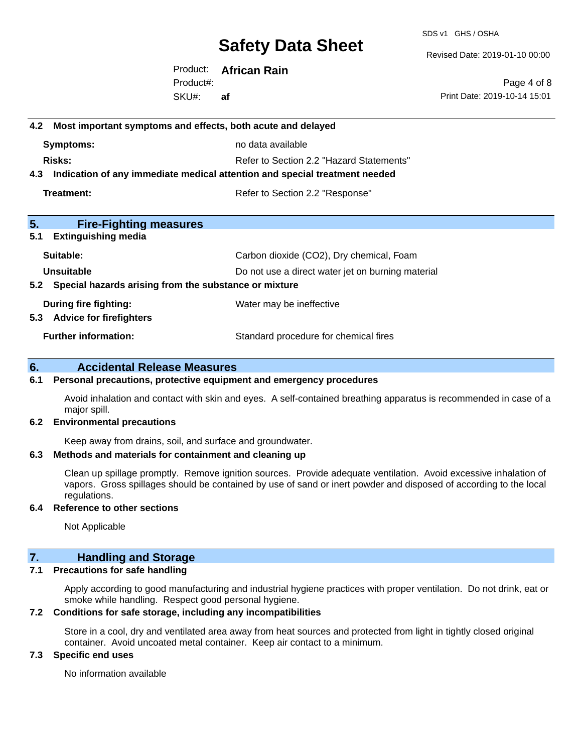SDS v1 GHS / OSHA

Revised Date: 2019-01-10 00:00

Product: **African Rain** SKU#: Product#: **af**

Page 4 of 8 Print Date: 2019-10-14 15:01

## **4.2 Most important symptoms and effects, both acute and delayed Symptoms:** no data available **Risks:** Risks: Refer to Section 2.2 "Hazard Statements" **4.3 Indication of any immediate medical attention and special treatment needed Treatment:** Treatment: Treatment: Refer to Section 2.2 "Response" **5. Fire-Fighting measures 5.1 Extinguishing media** Suitable: Carbon dioxide (CO2), Dry chemical, Foam **Unsuitable** Do not use a direct water jet on burning material **5.2 Special hazards arising from the substance or mixture During fire fighting:** Water may be ineffective **5.3 Advice for firefighters Further information:** Standard procedure for chemical fires

#### **6. Accidental Release Measures**

#### **6.1 Personal precautions, protective equipment and emergency procedures**

Avoid inhalation and contact with skin and eyes. A self-contained breathing apparatus is recommended in case of a major spill.

#### **6.2 Environmental precautions**

Keep away from drains, soil, and surface and groundwater.

#### **6.3 Methods and materials for containment and cleaning up**

Clean up spillage promptly. Remove ignition sources. Provide adequate ventilation. Avoid excessive inhalation of vapors. Gross spillages should be contained by use of sand or inert powder and disposed of according to the local regulations.

#### **6.4 Reference to other sections**

Not Applicable

#### **7. Handling and Storage**

#### **7.1 Precautions for safe handling**

Apply according to good manufacturing and industrial hygiene practices with proper ventilation. Do not drink, eat or smoke while handling. Respect good personal hygiene.

#### **7.2 Conditions for safe storage, including any incompatibilities**

Store in a cool, dry and ventilated area away from heat sources and protected from light in tightly closed original container. Avoid uncoated metal container. Keep air contact to a minimum.

#### **7.3 Specific end uses**

No information available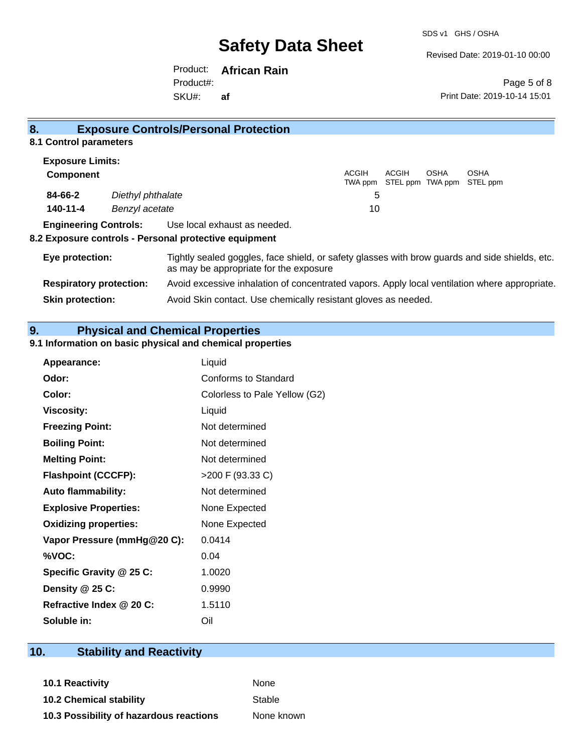SDS v1 GHS / OSHA

Revised Date: 2019-01-10 00:00

Product: **African Rain** SKU#: Product#: **af**

Page 5 of 8 Print Date: 2019-10-14 15:01

| 8.                             |                   | <b>Exposure Controls/Personal Protection</b>                                                                                             |                  |       |      |                                          |
|--------------------------------|-------------------|------------------------------------------------------------------------------------------------------------------------------------------|------------------|-------|------|------------------------------------------|
| 8.1 Control parameters         |                   |                                                                                                                                          |                  |       |      |                                          |
| <b>Exposure Limits:</b>        |                   |                                                                                                                                          |                  |       |      |                                          |
| <b>Component</b>               |                   |                                                                                                                                          | ACGIH<br>TWA ppm | ACGIH | OSHA | <b>OSHA</b><br>STEL ppm TWA ppm STEL ppm |
| 84-66-2                        | Diethyl phthalate |                                                                                                                                          | 5                |       |      |                                          |
| 140-11-4                       | Benzyl acetate    |                                                                                                                                          | 10               |       |      |                                          |
| <b>Engineering Controls:</b>   |                   | Use local exhaust as needed.<br>8.2 Exposure controls - Personal protective equipment                                                    |                  |       |      |                                          |
| Eye protection:                |                   | Tightly sealed goggles, face shield, or safety glasses with brow guards and side shields, etc.<br>as may be appropriate for the exposure |                  |       |      |                                          |
| <b>Respiratory protection:</b> |                   | Avoid excessive inhalation of concentrated vapors. Apply local ventilation where appropriate.                                            |                  |       |      |                                          |
| <b>Skin protection:</b>        |                   | Avoid Skin contact. Use chemically resistant gloves as needed.                                                                           |                  |       |      |                                          |

**9. Physical and Chemical Properties** 

#### **9.1 Information on basic physical and chemical properties**

| <b>Appearance:</b>           | Liquid                        |
|------------------------------|-------------------------------|
| Odor:                        | Conforms to Standard          |
| Color:                       | Colorless to Pale Yellow (G2) |
| <b>Viscosity:</b>            | Liquid                        |
| <b>Freezing Point:</b>       | Not determined                |
| <b>Boiling Point:</b>        | Not determined                |
| <b>Melting Point:</b>        | Not determined                |
| <b>Flashpoint (CCCFP):</b>   | >200 F (93.33 C)              |
| <b>Auto flammability:</b>    | Not determined                |
| <b>Explosive Properties:</b> | None Expected                 |
| <b>Oxidizing properties:</b> | None Expected                 |
| Vapor Pressure (mmHg@20 C):  | 0.0414                        |
| %VOC:                        | 0.04                          |
| Specific Gravity @ 25 C:     | 1.0020                        |
| Density @ 25 C:              | 0.9990                        |
| Refractive Index @ 20 C:     | 1.5110                        |
| Soluble in:                  | Oil                           |

## **10. Stability and Reactivity**

**10.1 Reactivity** None **10.2 Chemical stability** Stable **10.3 Possibility of hazardous reactions** None known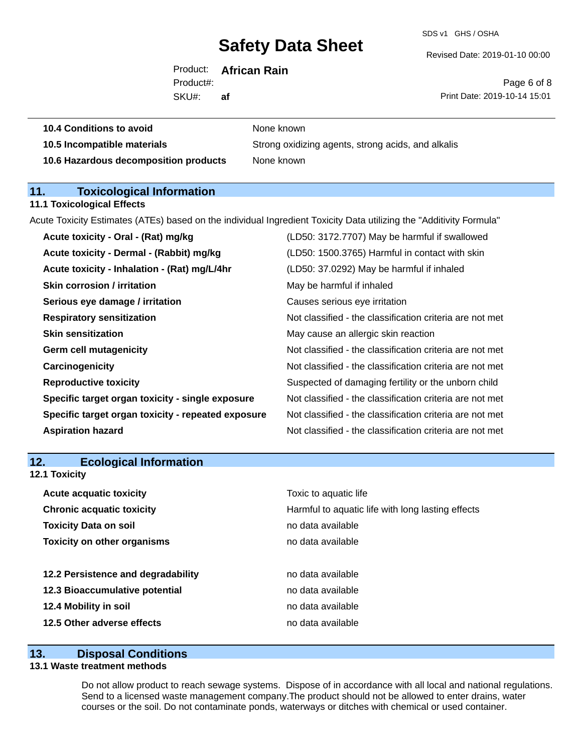SDS v1 GHS / OSHA

Revised Date: 2019-01-10 00:00

Product: **African Rain** SKU#: Product#: **af**

Page 6 of 8 Print Date: 2019-10-14 15:01

| <b>IV.J INCOMPANDIC MAIGHAIS</b>      | <b>OttOrig UARTZ</b> |
|---------------------------------------|----------------------|
| 10.6 Hazardous decomposition products | None known           |

**10.4 Conditions to avoid** None known

**10.5 Incompatible materials** Strong oxidizing agents, strong acids, and alkalis

### **11. Toxicological Information**

#### **11.1 Toxicological Effects**

Acute Toxicity Estimates (ATEs) based on the individual Ingredient Toxicity Data utilizing the "Additivity Formula"

| Acute toxicity - Oral - (Rat) mg/kg                | (LD50: 3172.7707) May be harmful if swallowed            |
|----------------------------------------------------|----------------------------------------------------------|
| Acute toxicity - Dermal - (Rabbit) mg/kg           | (LD50: 1500.3765) Harmful in contact with skin           |
| Acute toxicity - Inhalation - (Rat) mg/L/4hr       | (LD50: 37.0292) May be harmful if inhaled                |
| <b>Skin corrosion / irritation</b>                 | May be harmful if inhaled                                |
| Serious eye damage / irritation                    | Causes serious eye irritation                            |
| <b>Respiratory sensitization</b>                   | Not classified - the classification criteria are not met |
| <b>Skin sensitization</b>                          | May cause an allergic skin reaction                      |
| <b>Germ cell mutagenicity</b>                      | Not classified - the classification criteria are not met |
| Carcinogenicity                                    | Not classified - the classification criteria are not met |
| <b>Reproductive toxicity</b>                       | Suspected of damaging fertility or the unborn child      |
| Specific target organ toxicity - single exposure   | Not classified - the classification criteria are not met |
| Specific target organ toxicity - repeated exposure | Not classified - the classification criteria are not met |
| <b>Aspiration hazard</b>                           | Not classified - the classification criteria are not met |
|                                                    |                                                          |

### **12. Ecological Information 12.1 Toxicity**

| <b>Acute acquatic toxicity</b>     | Toxic to aquatic life                             |
|------------------------------------|---------------------------------------------------|
| <b>Chronic acquatic toxicity</b>   | Harmful to aquatic life with long lasting effects |
| <b>Toxicity Data on soil</b>       | no data available                                 |
| <b>Toxicity on other organisms</b> | no data available                                 |
|                                    |                                                   |
| 12.2 Persistence and degradability | no data available                                 |
| 12.3 Bioaccumulative potential     | no data available                                 |
| 12.4 Mobility in soil              | no data available                                 |
| 12.5 Other adverse effects         | no data available                                 |

#### **13. Disposal Conditions**

#### **13.1 Waste treatment methods**

Do not allow product to reach sewage systems. Dispose of in accordance with all local and national regulations. Send to a licensed waste management company.The product should not be allowed to enter drains, water courses or the soil. Do not contaminate ponds, waterways or ditches with chemical or used container.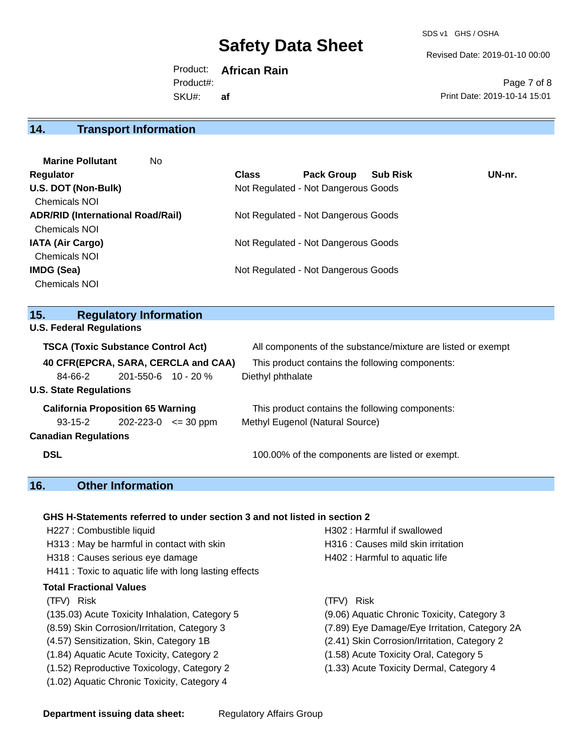SDS v1 GHS / OSHA

Revised Date: 2019-01-10 00:00

Product: **African Rain** SKU#: Product#: **af**

Page 7 of 8 Print Date: 2019-10-14 15:01

## **14. Transport Information**

| <b>Marine Pollutant</b><br>No.           |              |                                     |                 |        |
|------------------------------------------|--------------|-------------------------------------|-----------------|--------|
| Regulator                                | <b>Class</b> | <b>Pack Group</b>                   | <b>Sub Risk</b> | UN-nr. |
| U.S. DOT (Non-Bulk)                      |              | Not Regulated - Not Dangerous Goods |                 |        |
| <b>Chemicals NOI</b>                     |              |                                     |                 |        |
| <b>ADR/RID (International Road/Rail)</b> |              | Not Regulated - Not Dangerous Goods |                 |        |
| <b>Chemicals NOI</b>                     |              |                                     |                 |        |
| <b>IATA (Air Cargo)</b>                  |              | Not Regulated - Not Dangerous Goods |                 |        |
| <b>Chemicals NOI</b>                     |              |                                     |                 |        |
| IMDG (Sea)                               |              | Not Regulated - Not Dangerous Goods |                 |        |
| <b>Chemicals NOI</b>                     |              |                                     |                 |        |

### **15. Regulatory Information**

**U.S. Federal Regulations**

| <b>TSCA (Toxic Substance Control Act)</b> |                             | All components of the substance/mixture are listed or exempt |
|-------------------------------------------|-----------------------------|--------------------------------------------------------------|
| 40 CFR(EPCRA, SARA, CERCLA and CAA)       |                             | This product contains the following components:              |
| 84-66-2                                   | $201 - 550 - 6$ 10 - 20 %   | Diethyl phthalate                                            |
| <b>U.S. State Regulations</b>             |                             |                                                              |
| <b>California Proposition 65 Warning</b>  |                             | This product contains the following components:              |
| 93-15-2                                   | $202 - 223 - 0 \leq 30$ ppm | Methyl Eugenol (Natural Source)                              |
| <b>Canadian Regulations</b>               |                             |                                                              |
| <b>DSL</b>                                |                             | 100.00% of the components are listed or exempt.              |

## **16. Other Information**

#### **GHS H-Statements referred to under section 3 and not listed in section 2**

| H227 : Combustible liquid                              | H302 : Harmful if swallowed                   |
|--------------------------------------------------------|-----------------------------------------------|
| H313: May be harmful in contact with skin              | H316 : Causes mild skin irritation            |
| H318 : Causes serious eye damage                       | H402 : Harmful to aquatic life                |
| H411 : Toxic to aquatic life with long lasting effects |                                               |
| Total Fractional Values                                |                                               |
| (TFV) Risk                                             | <b>Risk</b><br>(TFV)                          |
| (135.03) Acute Toxicity Inhalation, Category 5         | (9.06) Aquatic Chronic Toxicity, Category 3   |
| (8.59) Skin Corrosion/Irritation, Category 3           | (7.89) Eye Damage/Eye Irritation, Category 2A |
| (4.57) Sensitization, Skin, Category 1B                | (2.41) Skin Corrosion/Irritation, Category 2  |
| (1.84) Aquatic Acute Toxicity, Category 2              | (1.58) Acute Toxicity Oral, Category 5        |
| (1.52) Reproductive Toxicology, Category 2             | (1.33) Acute Toxicity Dermal, Category 4      |
| (1.02) Aquatic Chronic Toxicity, Category 4            |                                               |
|                                                        |                                               |